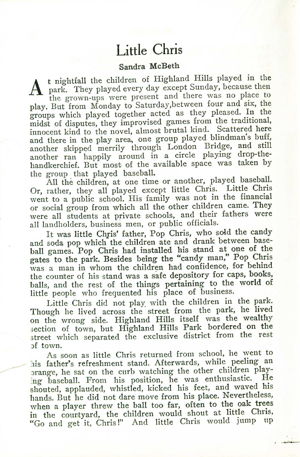## **Little Chris**

## Sandra McBeth

 ${\bf A}$ t nightfall the children of Highland Hills played in the park. They played every day except Sunday, because then the grown-ups were present and there was no place to play. But from Monday to Saturday,between four and six, the groups which played together acted as they pleased. In the midst of disputes, they improvised games from the traditional, innocent kind to the novel, almost brutal kind. Scattered here and there in the play area, one group played blindman's buff, another skipped merrily through London Bridge, and still another ran happily around in a circle playing drop-thehandkerchief. But most of the available space was taken by the group that played baseball.

All the children, at one time or another, played baseball. Or, rather, they all played except little Chris. Little Chris went to a public school. His family was not in the financial or social group from which all the other children came. They were all students at private schools, and their fathers were all landholders, business men, or public officials.

It was little Chris' father, Pop Chris, who sold the candy and soda pop which the children ate and drank between baseball games. Pop Chris had installed his stand at one of the gates to the park. Besides being the "candy man," Pop Chris was a man in whom the children had confidence, for behind the counter of his stand was a safe depository for caps, books, balls, and the rest of the things pertaining to the world of little people who frequented his place of business.

Little Chris did not play. with the children in the park. Though he lived across the street from the park, he lived on the wrong side. Highland Hills itself was the wealthy section of town, but Highland Hills Park bordered on the street which separated the exclusive district from the rest :)f town.

As soon as little Chris returned from school, he went to his father's refreshment stand. Afterwards, while peeling an orange, he sat on the curb watching the other children playing baseball. From his position, he was enthusiastic. He shouted, applauded, whistled, kicked his feet, and waved his hands. But he did not dare move from his place. Nevertheless, when a player threw the ball too far, often to the oak trees in the countyard, the children would shout at little Chris, "Go and get it, Chris!" And little Chris would jump up